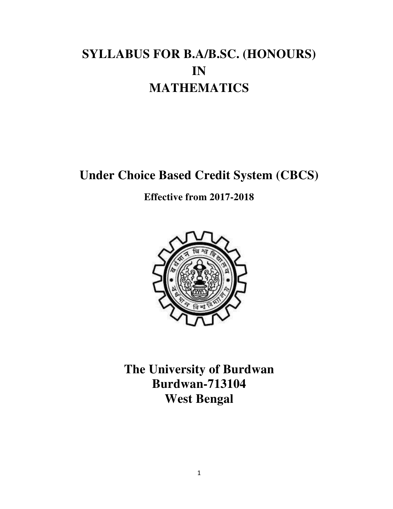# **SYLLABUS FOR B.A/B.SC. (HONOURS) IN MATHEMATICS**

**Under Choice Based Credit System (CBCS)** 

**Effective from 2017-2018** 



**The University of Burdwan Burdwan-713104 West Bengal**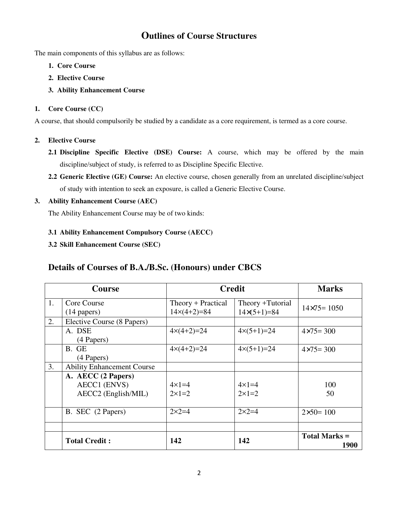## **Outlines of Course Structures**

The main components of this syllabus are as follows:

- **1. Core Course**
- **2. Elective Course**
- **3. Ability Enhancement Course**

## **1. Core Course (CC)**

A course, that should compulsorily be studied by a candidate as a core requirement, is termed as a core course.

## **2. Elective Course**

- **2.1 Discipline Specific Elective (DSE) Course:** A course, which may be offered by the main discipline/subject of study, is referred to as Discipline Specific Elective.
- **2.2 Generic Elective (GE) Course:** An elective course, chosen generally from an unrelated discipline/subject of study with intention to seek an exposure, is called a Generic Elective Course.

## **3. Ability Enhancement Course (AEC)**

The Ability Enhancement Course may be of two kinds:

## **3.1 Ability Enhancement Compulsory Course (AECC)**

## **3.2 Skill Enhancement Course (SEC)**

## **Details of Courses of B.A./B.Sc. (Honours) under CBCS**

| Course |                                   | <b>Credit</b>           |                         | <b>Marks</b>                 |  |
|--------|-----------------------------------|-------------------------|-------------------------|------------------------------|--|
| 1.     | Core Course                       | Theory + Practical      | Theory +Tutorial        | $14 \times 75 = 1050$        |  |
|        | $(14$ papers)                     | $14\times(4+2)=84$      | $14\times(5+1)=84$      |                              |  |
| 2.     | Elective Course (8 Papers)        |                         |                         |                              |  |
|        | A. DSE                            | $4 \times (4 + 2) = 24$ | $4 \times (5 + 1) = 24$ | $4 \times 75 = 300$          |  |
|        | (4 Papers)                        |                         |                         |                              |  |
|        | B. GE                             | $4 \times (4 + 2) = 24$ | $4 \times (5 + 1) = 24$ | $4 \times 75 = 300$          |  |
|        | (4 Papers)                        |                         |                         |                              |  |
| 3.     | <b>Ability Enhancement Course</b> |                         |                         |                              |  |
|        | A. AECC (2 Papers)                |                         |                         |                              |  |
|        | <b>AECC1</b> (ENVS)               | $4 \times 1 = 4$        | $4 \times 1 = 4$        | 100                          |  |
|        | AECC2 (English/MIL)               | $2\times1=2$            | $2\times1=2$            | 50                           |  |
|        |                                   |                         |                         |                              |  |
|        | B. SEC (2 Papers)                 | $2 \times 2 = 4$        | $2 \times 2 = 4$        | $2 \times 50 = 100$          |  |
|        |                                   |                         |                         |                              |  |
|        |                                   |                         |                         |                              |  |
|        | <b>Total Credit:</b>              | 142                     | 142                     | <b>Total Marks =</b><br>1900 |  |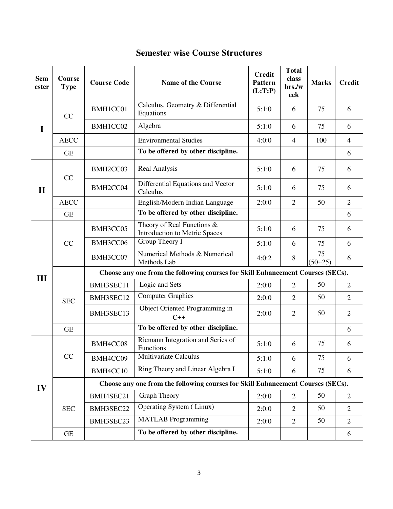| <b>Sem</b><br>ester | Course<br><b>Type</b> | <b>Course Code</b>                                                              | <b>Name of the Course</b>                                   | <b>Credit</b><br><b>Pattern</b><br>(L:T:P) | <b>Total</b><br>class<br>hrs./w<br>eek | <b>Marks</b>    | <b>Credit</b>  |  |  |
|---------------------|-----------------------|---------------------------------------------------------------------------------|-------------------------------------------------------------|--------------------------------------------|----------------------------------------|-----------------|----------------|--|--|
| I                   | CC                    | BMH1CC01                                                                        | Calculus, Geometry & Differential<br>Equations              | 5:1:0                                      | 6                                      | 75              | 6              |  |  |
|                     |                       | BMH1CC02                                                                        | Algebra                                                     | 5:1:0                                      | 6                                      | 75              | 6              |  |  |
|                     | <b>AECC</b>           |                                                                                 | <b>Environmental Studies</b>                                | 4:0:0                                      | $\overline{4}$                         | 100             | $\overline{4}$ |  |  |
|                     | <b>GE</b>             |                                                                                 | To be offered by other discipline.                          |                                            |                                        |                 | 6              |  |  |
| $\mathbf{I}$        | CC                    | BMH2CC03                                                                        | Real Analysis                                               | 5:1:0                                      | 6                                      | 75              | 6              |  |  |
|                     |                       | BMH2CC04                                                                        | Differential Equations and Vector<br>Calculus               | 5:1:0                                      | 6                                      | 75              | 6              |  |  |
|                     | <b>AECC</b>           |                                                                                 | English/Modern Indian Language                              | 2:0:0                                      | $\overline{2}$                         | 50              | $\overline{2}$ |  |  |
|                     | <b>GE</b>             |                                                                                 | To be offered by other discipline.                          |                                            |                                        |                 | 6              |  |  |
|                     | CC                    | BMH3CC05                                                                        | Theory of Real Functions &<br>Introduction to Metric Spaces | 5:1:0                                      | 6                                      | 75              | 6              |  |  |
|                     |                       | BMH3CC06                                                                        | Group Theory I                                              | 5:1:0                                      | 6                                      | 75              | 6              |  |  |
|                     |                       | BMH3CC07                                                                        | Numerical Methods & Numerical<br>Methods Lab                | 4:0:2                                      | 8                                      | 75<br>$(50+25)$ | 6              |  |  |
| III                 |                       | Choose any one from the following courses for Skill Enhancement Courses (SECs). |                                                             |                                            |                                        |                 |                |  |  |
|                     | <b>SEC</b>            | BMH3SEC11                                                                       | Logic and Sets                                              | 2:0:0                                      | $\overline{2}$                         | 50              | $\overline{2}$ |  |  |
|                     |                       | BMH3SEC12                                                                       | <b>Computer Graphics</b>                                    | 2:0:0                                      | $\mathfrak{2}$                         | 50              | $\overline{2}$ |  |  |
|                     |                       | BMH3SEC13                                                                       | Object Oriented Programming in<br>$C++$                     | 2:0:0                                      | $\mathfrak{2}$                         | 50              | $\overline{2}$ |  |  |
|                     | <b>GE</b>             |                                                                                 | To be offered by other discipline.                          |                                            |                                        |                 | 6              |  |  |
| IV                  |                       | BMH4CC08                                                                        | Riemann Integration and Series of<br>Functions              | 5:1:0                                      | 6                                      | 75              | 6              |  |  |
|                     | CC                    | BMH4CC09                                                                        | Multivariate Calculus                                       | 5:1:0                                      | 6                                      | 75              | 6              |  |  |
|                     |                       | BMH4CC10                                                                        | Ring Theory and Linear Algebra I                            | 5:1:0                                      | 6                                      | 75              | 6              |  |  |
|                     |                       | Choose any one from the following courses for Skill Enhancement Courses (SECs). |                                                             |                                            |                                        |                 |                |  |  |
|                     | <b>SEC</b>            | BMH4SEC21                                                                       | <b>Graph Theory</b>                                         | 2:0:0                                      | $\overline{2}$                         | 50              | $\overline{2}$ |  |  |
|                     |                       | BMH3SEC22                                                                       | Operating System (Linux)                                    | 2:0:0                                      | $\overline{2}$                         | 50              | $\overline{2}$ |  |  |
|                     |                       | BMH3SEC23                                                                       | <b>MATLAB</b> Programming                                   | 2:0:0                                      | $\overline{2}$                         | 50              | $\overline{2}$ |  |  |
|                     | <b>GE</b>             |                                                                                 | To be offered by other discipline.                          |                                            |                                        |                 | 6              |  |  |

## **Semester wise Course Structures**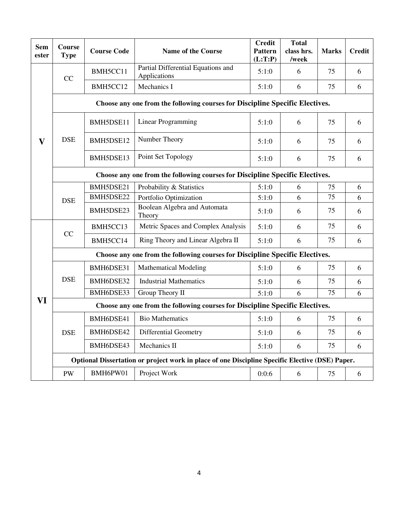| <b>Sem</b><br>ester | Course<br><b>Type</b>                                                                           | <b>Course Code</b> | <b>Name of the Course</b>                                                    | <b>Credit</b><br><b>Pattern</b><br>(L:T:P) | <b>Total</b><br>class hrs.<br>/week | <b>Marks</b> | <b>Credit</b> |  |  |
|---------------------|-------------------------------------------------------------------------------------------------|--------------------|------------------------------------------------------------------------------|--------------------------------------------|-------------------------------------|--------------|---------------|--|--|
|                     | CC                                                                                              | BMH5CC11           | Partial Differential Equations and<br>Applications                           | 5:1:0                                      | 6                                   | 75           | 6             |  |  |
|                     |                                                                                                 | BMH5CC12           | Mechanics I                                                                  | 5:1:0                                      | 6                                   | 75           | 6             |  |  |
|                     | Choose any one from the following courses for Discipline Specific Electives.                    |                    |                                                                              |                                            |                                     |              |               |  |  |
|                     | <b>DSE</b>                                                                                      | BMH5DSE11          | <b>Linear Programming</b>                                                    | 5:1:0                                      | 6                                   | 75           | 6             |  |  |
| v                   |                                                                                                 | BMH5DSE12          | Number Theory                                                                | 5:1:0                                      | 6                                   | 75           | 6             |  |  |
|                     |                                                                                                 | BMH5DSE13          | Point Set Topology                                                           | 5:1:0                                      | 6                                   | 75           | 6             |  |  |
|                     |                                                                                                 |                    | Choose any one from the following courses for Discipline Specific Electives. |                                            |                                     |              |               |  |  |
|                     |                                                                                                 | BMH5DSE21          | Probability & Statistics                                                     | 5:1:0                                      | 6                                   | 75           | 6             |  |  |
|                     | <b>DSE</b>                                                                                      | BMH5DSE22          | Portfolio Optimization                                                       | 5:1:0                                      | 6                                   | 75           | 6             |  |  |
|                     |                                                                                                 | BMH5DSE23          | Boolean Algebra and Automata<br>Theory                                       | 5:1:0                                      | 6                                   | 75           | 6             |  |  |
|                     | CC                                                                                              | BMH5CC13           | Metric Spaces and Complex Analysis                                           | 5:1:0                                      | 6                                   | 75           | 6             |  |  |
|                     |                                                                                                 | BMH5CC14           | Ring Theory and Linear Algebra II                                            | 5:1:0                                      | 6                                   | 75           | 6             |  |  |
|                     | Choose any one from the following courses for Discipline Specific Electives.                    |                    |                                                                              |                                            |                                     |              |               |  |  |
|                     | <b>DSE</b>                                                                                      | BMH6DSE31          | <b>Mathematical Modeling</b>                                                 | 5:1:0                                      | 6                                   | 75           | 6             |  |  |
|                     |                                                                                                 | BMH6DSE32          | <b>Industrial Mathematics</b>                                                | 5:1:0                                      | 6                                   | 75           | 6             |  |  |
|                     |                                                                                                 | BMH6DSE33          | Group Theory II                                                              | 5:1:0                                      | 6                                   | 75           | 6             |  |  |
| VI                  | Choose any one from the following courses for Discipline Specific Electives.                    |                    |                                                                              |                                            |                                     |              |               |  |  |
|                     | <b>DSE</b>                                                                                      | BMH6DSE41          | <b>Bio Mathematics</b>                                                       | 5:1:0                                      | 6                                   | 75           | 6             |  |  |
|                     |                                                                                                 | BMH6DSE42          | <b>Differential Geometry</b>                                                 | 5:1:0                                      | 6                                   | 75           | 6             |  |  |
|                     |                                                                                                 | BMH6DSE43          | Mechanics II                                                                 | 5:1:0                                      | 6                                   | 75           | 6             |  |  |
|                     | Optional Dissertation or project work in place of one Discipline Specific Elective (DSE) Paper. |                    |                                                                              |                                            |                                     |              |               |  |  |
|                     | PW                                                                                              | BMH6PW01           | Project Work                                                                 | 0:0:6                                      | 6                                   | 75           | 6             |  |  |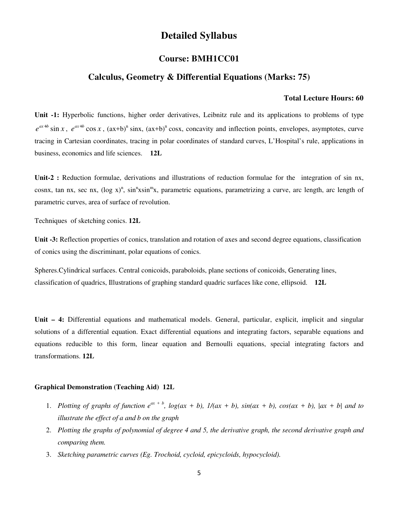## **Detailed Syllabus**

## **Course: BMH1CC01**

## **Calculus, Geometry & Differential Equations (Marks: 75)**

#### **Total Lecture Hours: 60**

**Unit -1:** Hyperbolic functions, higher order derivatives, Leibnitz rule and its applications to problems of type  $e^{ax+b}$  sin *x*,  $e^{ax+b}$  cos *x*,  $(ax+b)^n$  sinx,  $(ax+b)^n$  cosx, concavity and inflection points, envelopes, asymptotes, curve tracing in Cartesian coordinates, tracing in polar coordinates of standard curves, L'Hospital's rule, applications in business, economics and life sciences. **12L**

**Unit-2 :** Reduction formulae, derivations and illustrations of reduction formulae for the integration of sin nx, cosnx, tan nx, sec nx,  $(\log x)^n$ , sin<sup>n</sup>xsin<sup>m</sup>x, parametric equations, parametrizing a curve, arc length, arc length of parametric curves, area of surface of revolution.

Techniques of sketching conics. **12L**

**Unit -3:** Reflection properties of conics, translation and rotation of axes and second degree equations, classification of conics using the discriminant, polar equations of conics.

Spheres.Cylindrical surfaces. Central conicoids, paraboloids, plane sections of conicoids, Generating lines, classification of quadrics, Illustrations of graphing standard quadric surfaces like cone, ellipsoid. **12L**

**Unit – 4:** Differential equations and mathematical models. General, particular, explicit, implicit and singular solutions of a differential equation. Exact differential equations and integrating factors, separable equations and equations reducible to this form, linear equation and Bernoulli equations, special integrating factors and transformations. **12L**

#### **Graphical Demonstration (Teaching Aid) 12L**

- 1. *Plotting of graphs of function*  $e^{ax + b}$ ,  $log(ax + b)$ ,  $1/(ax + b)$ ,  $sin(ax + b)$ ,  $cos(ax + b)$ ,  $|ax + b|$  and to *illustrate the effect of a and b on the graph*
- 2. *Plotting the graphs of polynomial of degree 4 and 5, the derivative graph, the second derivative graph and comparing them.*
- 3. *Sketching parametric curves (Eg. Trochoid, cycloid, epicycloids, hypocycloid).*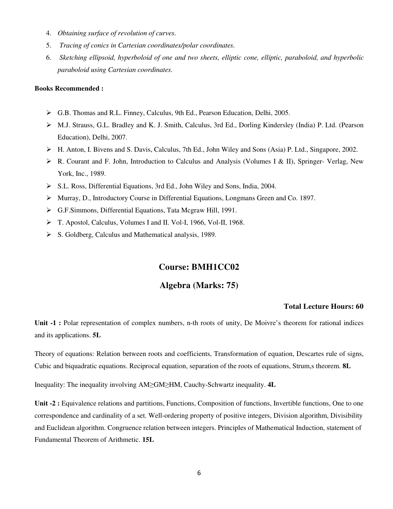- 4. *Obtaining surface of revolution of curves.*
- 5. *Tracing of conics in Cartesian coordinates/polar coordinates.*
- 6. *Sketching ellipsoid, hyperboloid of one and two sheets, elliptic cone, elliptic, paraboloid, and hyperbolic paraboloid using Cartesian coordinates.*

#### **Books Recommended :**

- G.B. Thomas and R.L. Finney, Calculus, 9th Ed., Pearson Education, Delhi, 2005.
- M.J. Strauss, G.L. Bradley and K. J. Smith, Calculus, 3rd Ed., Dorling Kindersley (India) P. Ltd. (Pearson Education), Delhi, 2007.
- H. Anton, I. Bivens and S. Davis, Calculus, 7th Ed., John Wiley and Sons (Asia) P. Ltd., Singapore, 2002.
- $\triangleright$  R. Courant and F. John, Introduction to Calculus and Analysis (Volumes I & II), Springer- Verlag, New York, Inc., 1989.
- S.L. Ross, Differential Equations, 3rd Ed., John Wiley and Sons, India, 2004.
- Murray, D., Introductory Course in Differential Equations, Longmans Green and Co. 1897.
- G.F.Simmons, Differential Equations, Tata Mcgraw Hill, 1991.
- T. Apostol, Calculus, Volumes I and II. Vol-I, 1966, Vol-II, 1968.
- $\triangleright$  S. Goldberg, Calculus and Mathematical analysis, 1989.

## **Course: BMH1CC02**

## **Algebra (Marks: 75)**

#### **Total Lecture Hours: 60**

**Unit -1 :** Polar representation of complex numbers, n-th roots of unity, De Moivre's theorem for rational indices and its applications. **5L**

Theory of equations: Relation between roots and coefficients, Transformation of equation, Descartes rule of signs, Cubic and biquadratic equations. Reciprocal equation, separation of the roots of equations, Strum,s theorem. **8L** 

Inequality: The inequality involving AM≥GM≥HM, Cauchy-Schwartz inequality. **4L** 

Unit -2 : Equivalence relations and partitions, Functions, Composition of functions, Invertible functions, One to one correspondence and cardinality of a set. Well-ordering property of positive integers, Division algorithm, Divisibility and Euclidean algorithm. Congruence relation between integers. Principles of Mathematical Induction, statement of Fundamental Theorem of Arithmetic. **15L**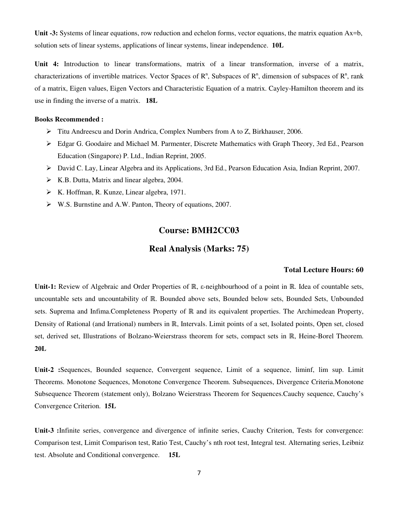**Unit -3:** Systems of linear equations, row reduction and echelon forms, vector equations, the matrix equation Ax=b, solution sets of linear systems, applications of linear systems, linear independence. **10L**

**Unit 4:** Introduction to linear transformations, matrix of a linear transformation, inverse of a matrix, characterizations of invertible matrices. Vector Spaces of  $R^n$ , Subspaces of  $R^n$ , dimension of subspaces of  $R^n$ , rank of a matrix, Eigen values, Eigen Vectors and Characteristic Equation of a matrix. Cayley-Hamilton theorem and its use in finding the inverse of a matrix. **18L**

#### **Books Recommended :**

- Titu Andreescu and Dorin Andrica, Complex Numbers from A to Z, Birkhauser, 2006.
- Edgar G. Goodaire and Michael M. Parmenter, Discrete Mathematics with Graph Theory, 3rd Ed., Pearson Education (Singapore) P. Ltd., Indian Reprint, 2005.
- David C. Lay, Linear Algebra and its Applications, 3rd Ed., Pearson Education Asia, Indian Reprint, 2007.
- $\triangleright$  K.B. Dutta, Matrix and linear algebra, 2004.
- $\triangleright$  K. Hoffman, R. Kunze, Linear algebra, 1971.
- W.S. Burnstine and A.W. Panton, Theory of equations, 2007.

## **Course: BMH2CC03**

## **Real Analysis (Marks: 75)**

#### **Total Lecture Hours: 60**

**Unit-1:** Review of Algebraic and Order Properties of ℝ, ε-neighbourhood of a point in ℝ. Idea of countable sets, uncountable sets and uncountability of ℝ. Bounded above sets, Bounded below sets, Bounded Sets, Unbounded sets. Suprema and Infima.Completeness Property of ℝ and its equivalent properties. The Archimedean Property, Density of Rational (and Irrational) numbers in ℝ, Intervals. Limit points of a set, Isolated points, Open set, closed set, derived set, Illustrations of Bolzano-Weierstrass theorem for sets, compact sets in ℝ, Heine-Borel Theorem. **20L** 

**Unit-2 :**Sequences, Bounded sequence, Convergent sequence, Limit of a sequence, liminf, lim sup. Limit Theorems. Monotone Sequences, Monotone Convergence Theorem. Subsequences, Divergence Criteria.Monotone Subsequence Theorem (statement only), Bolzano Weierstrass Theorem for Sequences.Cauchy sequence, Cauchy's Convergence Criterion. **15L** 

**Unit-3 :**Infinite series, convergence and divergence of infinite series, Cauchy Criterion, Tests for convergence: Comparison test, Limit Comparison test, Ratio Test, Cauchy's nth root test, Integral test. Alternating series, Leibniz test. Absolute and Conditional convergence. **15L**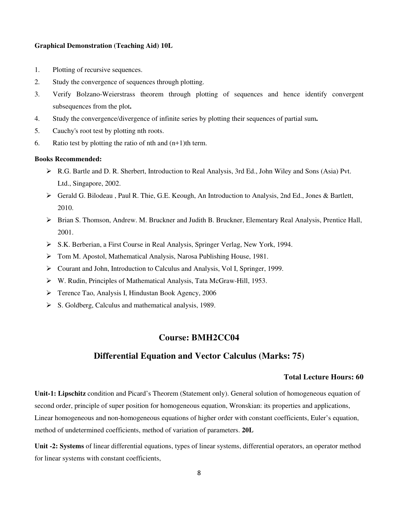#### **Graphical Demonstration (Teaching Aid) 10L**

- 1. Plotting of recursive sequences.
- 2. Study the convergence of sequences through plotting.
- 3. Verify Bolzano-Weierstrass theorem through plotting of sequences and hence identify convergent subsequences from the plot**.**
- 4. Study the convergence/divergence of infinite series by plotting their sequences of partial sum**.**
- 5. Cauchy's root test by plotting nth roots.
- 6. Ratio test by plotting the ratio of nth and  $(n+1)$ th term.

#### **Books Recommended:**

- R.G. Bartle and D. R. Sherbert, Introduction to Real Analysis, 3rd Ed., John Wiley and Sons (Asia) Pvt. Ltd., Singapore, 2002.
- Gerald G. Bilodeau , Paul R. Thie, G.E. Keough, An Introduction to Analysis, 2nd Ed., Jones & Bartlett, 2010.
- Brian S. Thomson, Andrew. M. Bruckner and Judith B. Bruckner, Elementary Real Analysis, Prentice Hall, 2001.
- S.K. Berberian, a First Course in Real Analysis, Springer Verlag, New York, 1994.
- Tom M. Apostol, Mathematical Analysis, Narosa Publishing House, 1981.
- Courant and John, Introduction to Calculus and Analysis, Vol I, Springer, 1999.
- W. Rudin, Principles of Mathematical Analysis, Tata McGraw-Hill, 1953.
- Terence Tao, Analysis I, Hindustan Book Agency, 2006
- $\triangleright$  S. Goldberg, Calculus and mathematical analysis, 1989.

## **Course: BMH2CC04**

#### **Differential Equation and Vector Calculus (Marks: 75)**

#### **Total Lecture Hours: 60**

**Unit-1: Lipschitz** condition and Picard's Theorem (Statement only). General solution of homogeneous equation of second order, principle of super position for homogeneous equation, Wronskian: its properties and applications, Linear homogeneous and non-homogeneous equations of higher order with constant coefficients, Euler's equation, method of undetermined coefficients, method of variation of parameters. **20L**

**Unit -2: Systems** of linear differential equations, types of linear systems, differential operators, an operator method for linear systems with constant coefficients,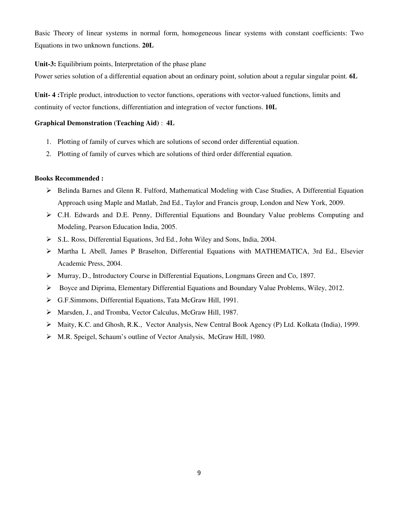Basic Theory of linear systems in normal form, homogeneous linear systems with constant coefficients: Two Equations in two unknown functions. **20L** 

**Unit-3:** Equilibrium points, Interpretation of the phase plane

Power series solution of a differential equation about an ordinary point, solution about a regular singular point. **6L** 

**Unit- 4 :**Triple product, introduction to vector functions, operations with vector-valued functions, limits and continuity of vector functions, differentiation and integration of vector functions. **10L** 

#### **Graphical Demonstration (Teaching Aid)** : **4L**

- 1. Plotting of family of curves which are solutions of second order differential equation.
- 2. Plotting of family of curves which are solutions of third order differential equation.

- Belinda Barnes and Glenn R. Fulford, Mathematical Modeling with Case Studies, A Differential Equation Approach using Maple and Matlab, 2nd Ed., Taylor and Francis group, London and New York, 2009.
- C.H. Edwards and D.E. Penny, Differential Equations and Boundary Value problems Computing and Modeling, Pearson Education India, 2005.
- S.L. Ross, Differential Equations, 3rd Ed., John Wiley and Sons, India, 2004.
- Martha L Abell, James P Braselton, Differential Equations with MATHEMATICA, 3rd Ed., Elsevier Academic Press, 2004.
- Murray, D., Introductory Course in Differential Equations, Longmans Green and Co, 1897.
- $\triangleright$  Boyce and Diprima, Elementary Differential Equations and Boundary Value Problems, Wiley, 2012.
- G.F.Simmons, Differential Equations, Tata McGraw Hill, 1991.
- Marsden, J., and Tromba, Vector Calculus, McGraw Hill, 1987.
- Maity, K.C. and Ghosh, R.K., Vector Analysis, New Central Book Agency (P) Ltd. Kolkata (India), 1999.
- M.R. Speigel, Schaum's outline of Vector Analysis, McGraw Hill, 1980.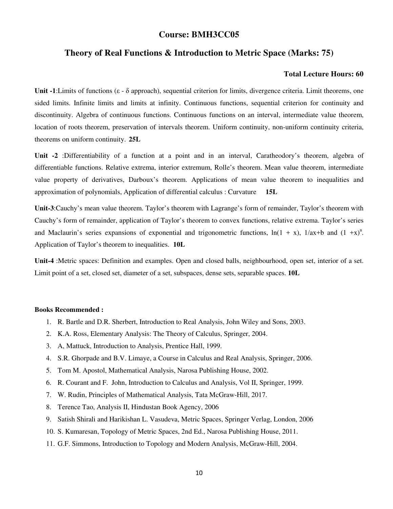## **Course: BMH3CC05**

## **Theory of Real Functions & Introduction to Metric Space (Marks: 75)**

#### **Total Lecture Hours: 60**

**Unit -1**:Limits of functions (ε - δ approach), sequential criterion for limits, divergence criteria. Limit theorems, one sided limits. Infinite limits and limits at infinity. Continuous functions, sequential criterion for continuity and discontinuity. Algebra of continuous functions. Continuous functions on an interval, intermediate value theorem, location of roots theorem, preservation of intervals theorem. Uniform continuity, non-uniform continuity criteria, theorems on uniform continuity. **25L** 

**Unit -2** :Differentiability of a function at a point and in an interval, Caratheodory's theorem, algebra of differentiable functions. Relative extrema, interior extremum, Rolle's theorem. Mean value theorem, intermediate value property of derivatives, Darboux's theorem. Applications of mean value theorem to inequalities and approximation of polynomials, Application of differential calculus : Curvature **15L**

**Unit-3**:Cauchy's mean value theorem. Taylor's theorem with Lagrange's form of remainder, Taylor's theorem with Cauchy's form of remainder, application of Taylor's theorem to convex functions, relative extrema. Taylor's series and Maclaurin's series expansions of exponential and trigonometric functions,  $\ln(1 + x)$ ,  $1/ax + b$  and  $(1 +x)^n$ . Application of Taylor's theorem to inequalities. **10L**

**Unit-4** :Metric spaces: Definition and examples. Open and closed balls, neighbourhood, open set, interior of a set. Limit point of a set, closed set, diameter of a set, subspaces, dense sets, separable spaces. **10L**

- 1. R. Bartle and D.R. Sherbert, Introduction to Real Analysis, John Wiley and Sons, 2003.
- 2. K.A. Ross, Elementary Analysis: The Theory of Calculus, Springer, 2004.
- 3. A, Mattuck, Introduction to Analysis, Prentice Hall, 1999.
- 4. S.R. Ghorpade and B.V. Limaye, a Course in Calculus and Real Analysis, Springer, 2006.
- 5. Tom M. Apostol, Mathematical Analysis, Narosa Publishing House, 2002.
- 6. R. Courant and F. John, Introduction to Calculus and Analysis, Vol II, Springer, 1999.
- 7. W. Rudin, Principles of Mathematical Analysis, Tata McGraw-Hill, 2017.
- 8. Terence Tao, Analysis II, Hindustan Book Agency, 2006
- 9. Satish Shirali and Harikishan L. Vasudeva, Metric Spaces, Springer Verlag, London, 2006
- 10. S. Kumaresan, Topology of Metric Spaces, 2nd Ed., Narosa Publishing House, 2011.
- 11. G.F. Simmons, Introduction to Topology and Modern Analysis, McGraw-Hill, 2004.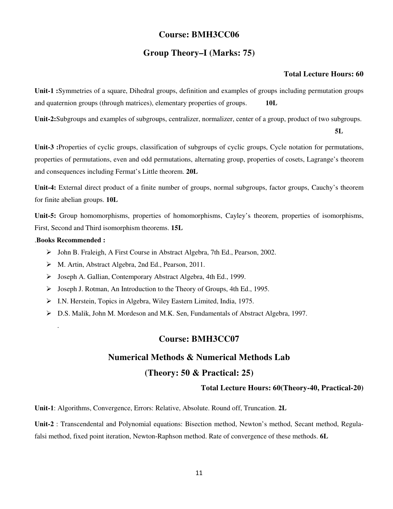## **Course: BMH3CC06**

## **Group Theory–I (Marks: 75)**

#### **Total Lecture Hours: 60**

**Unit-1 :**Symmetries of a square, Dihedral groups, definition and examples of groups including permutation groups and quaternion groups (through matrices), elementary properties of groups. **10L**

**Unit-2:**Subgroups and examples of subgroups, centralizer, normalizer, center of a group, product of two subgroups.

**5L**

**Unit-3 :**Properties of cyclic groups, classification of subgroups of cyclic groups, Cycle notation for permutations, properties of permutations, even and odd permutations, alternating group, properties of cosets, Lagrange's theorem and consequences including Fermat's Little theorem. **20L**

**Unit-4:** External direct product of a finite number of groups, normal subgroups, factor groups, Cauchy's theorem for finite abelian groups. **10L**

**Unit-5:** Group homomorphisms, properties of homomorphisms, Cayley's theorem, properties of isomorphisms, First, Second and Third isomorphism theorems. **15L**

#### .**Books Recommended :**

.

- John B. Fraleigh, A First Course in Abstract Algebra, 7th Ed., Pearson, 2002.
- M. Artin, Abstract Algebra, 2nd Ed., Pearson, 2011.
- Joseph A. Gallian, Contemporary Abstract Algebra, 4th Ed., 1999.
- Joseph J. Rotman, An Introduction to the Theory of Groups, 4th Ed., 1995.
- I.N. Herstein, Topics in Algebra, Wiley Eastern Limited, India, 1975.
- D.S. Malik, John M. Mordeson and M.K. Sen, Fundamentals of Abstract Algebra, 1997.

## **Course: BMH3CC07**

## **Numerical Methods & Numerical Methods Lab**

## **(Theory: 50 & Practical: 25)**

**Total Lecture Hours: 60(Theory-40, Practical-20)**

**Unit-1**: Algorithms, Convergence, Errors: Relative, Absolute. Round off, Truncation. **2L**

**Unit-2** : Transcendental and Polynomial equations: Bisection method, Newton's method, Secant method, Regulafalsi method, fixed point iteration, Newton-Raphson method. Rate of convergence of these methods. **6L**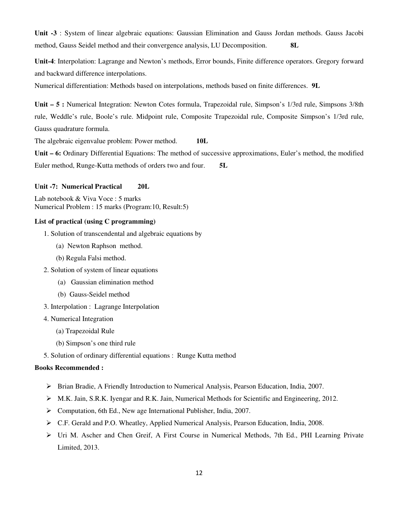**Unit -3** : System of linear algebraic equations: Gaussian Elimination and Gauss Jordan methods. Gauss Jacobi method, Gauss Seidel method and their convergence analysis, LU Decomposition. **8L**

**Unit-4**: Interpolation: Lagrange and Newton's methods, Error bounds, Finite difference operators. Gregory forward and backward difference interpolations.

Numerical differentiation: Methods based on interpolations, methods based on finite differences. **9L**

**Unit – 5 :** Numerical Integration: Newton Cotes formula, Trapezoidal rule, Simpson's 1/3rd rule, Simpsons 3/8th rule, Weddle's rule, Boole's rule. Midpoint rule, Composite Trapezoidal rule, Composite Simpson's 1/3rd rule, Gauss quadrature formula.

The algebraic eigenvalue problem: Power method. **10L**

**Unit – 6:** Ordinary Differential Equations: The method of successive approximations, Euler's method, the modified Euler method, Runge-Kutta methods of orders two and four. **5L**

#### **Unit -7: Numerical Practical 20L**

Lab notebook & Viva Voce : 5 marks Numerical Problem : 15 marks (Program:10, Result:5)

#### **List of practical (using C programming)**

- 1. Solution of transcendental and algebraic equations by
	- (a) Newton Raphson method.
	- (b) Regula Falsi method.
- 2. Solution of system of linear equations
	- (a) Gaussian elimination method
	- (b) Gauss-Seidel method
- 3. Interpolation : Lagrange Interpolation
- 4. Numerical Integration
	- (a) Trapezoidal Rule
	- (b) Simpson's one third rule
- 5. Solution of ordinary differential equations : Runge Kutta method

- $\triangleright$  Brian Bradie, A Friendly Introduction to Numerical Analysis, Pearson Education, India, 2007.
- M.K. Jain, S.R.K. Iyengar and R.K. Jain, Numerical Methods for Scientific and Engineering, 2012.
- Computation, 6th Ed., New age International Publisher, India, 2007.
- C.F. Gerald and P.O. Wheatley, Applied Numerical Analysis, Pearson Education, India, 2008.
- Uri M. Ascher and Chen Greif, A First Course in Numerical Methods, 7th Ed., PHI Learning Private Limited, 2013.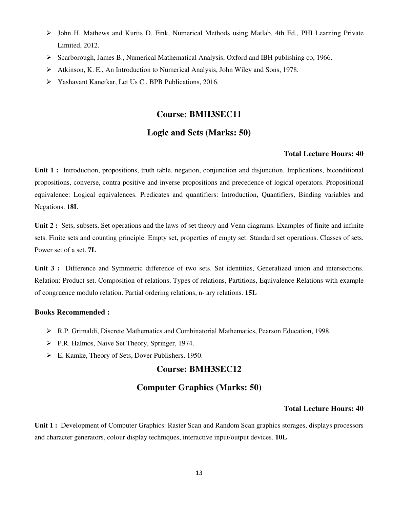- $\triangleright$  John H. Mathews and Kurtis D. Fink, Numerical Methods using Matlab, 4th Ed., PHI Learning Private Limited, 2012.
- $\triangleright$  Scarborough, James B., Numerical Mathematical Analysis, Oxford and IBH publishing co, 1966.
- $\triangleright$  Atkinson, K. E., An Introduction to Numerical Analysis, John Wiley and Sons, 1978.
- Yashavant Kanetkar, Let Us C , BPB Publications, 2016.

## **Course: BMH3SEC11**

## **Logic and Sets (Marks: 50)**

#### **Total Lecture Hours: 40**

**Unit 1 :** Introduction, propositions, truth table, negation, conjunction and disjunction. Implications, biconditional propositions, converse, contra positive and inverse propositions and precedence of logical operators. Propositional equivalence: Logical equivalences. Predicates and quantifiers: Introduction, Quantifiers, Binding variables and Negations. **18L**

**Unit 2 :** Sets, subsets, Set operations and the laws of set theory and Venn diagrams. Examples of finite and infinite sets. Finite sets and counting principle. Empty set, properties of empty set. Standard set operations. Classes of sets. Power set of a set. **7L**

Unit 3 : Difference and Symmetric difference of two sets. Set identities, Generalized union and intersections. Relation: Product set. Composition of relations, Types of relations, Partitions, Equivalence Relations with example of congruence modulo relation. Partial ordering relations, n- ary relations. **15L**

#### **Books Recommended :**

- R.P. Grimaldi, Discrete Mathematics and Combinatorial Mathematics, Pearson Education, 1998.
- P.R. Halmos, Naive Set Theory, Springer, 1974.
- E. Kamke, Theory of Sets, Dover Publishers, 1950.

## **Course: BMH3SEC12**

## **Computer Graphics (Marks: 50)**

#### **Total Lecture Hours: 40**

**Unit 1 :** Development of Computer Graphics: Raster Scan and Random Scan graphics storages, displays processors and character generators, colour display techniques, interactive input/output devices. **10L**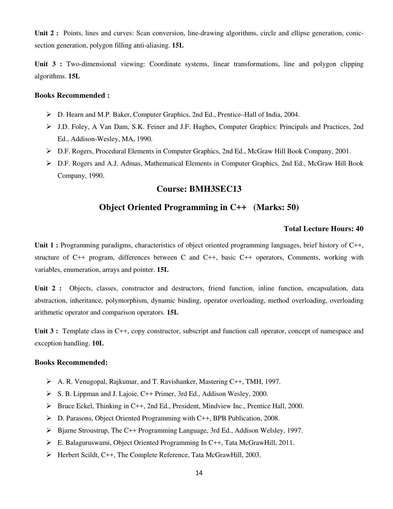**Unit 2 :** Points, lines and curves: Scan conversion, line-drawing algorithms, circle and ellipse generation, conicsection generation, polygon filling anti-aliasing. **15L**

Unit 3 : Two-dimensional viewing: Coordinate systems, linear transformations, line and polygon clipping algorithms. **15L**

#### **Books Recommended :**

- D. Hearn and M.P. Baker, Computer Graphics, 2nd Ed., Prentice–Hall of India, 2004.
- J.D. Foley, A Van Dam, S.K. Feiner and J.F. Hughes, Computer Graphics: Principals and Practices, 2nd Ed., Addison-Wesley, MA, 1990.
- D.F. Rogers, Procedural Elements in Computer Graphics, 2nd Ed., McGraw Hill Book Company, 2001.
- D.F. Rogers and A.J. Admas, Mathematical Elements in Computer Graphics, 2nd Ed., McGraw Hill Book Company, 1990.

## **Course: BMH3SEC13**

## **Object Oriented Programming in C++ (Marks: 50)**

#### **Total Lecture Hours: 40**

Unit 1 : Programming paradigms, characteristics of object oriented programming languages, brief history of C++, structure of C++ program, differences between C and C++, basic C++ operators, Comments, working with variables, enumeration, arrays and pointer. **15L**

**Unit 2 :** Objects, classes, constructor and destructors, friend function, inline function, encapsulation, data abstraction, inheritance, polymorphism, dynamic binding, operator overloading, method overloading, overloading arithmetic operator and comparison operators. **15L**

**Unit 3 :** Template class in C++, copy constructor, subscript and function call operator, concept of namespace and exception handling. **10L**

- A. R. Venugopal, Rajkumar, and T. Ravishanker, Mastering C++, TMH, 1997.
- S. B. Lippman and J. Lajoie, C++ Primer, 3rd Ed., Addison Wesley, 2000.
- $\triangleright$  Bruce Eckel, Thinking in C++, 2nd Ed., President, Mindview Inc., Prentice Hall, 2000.
- D. Parasons, Object Oriented Programming with C++, BPB Publication, 2008.
- $\triangleright$  Bjarne Stroustrup, The C++ Programming Language, 3rd Ed., Addison Welsley, 1997.
- $\triangleright$  E. Balagurus wami, Object Oriented Programming In C++, Tata McGrawHill, 2011.
- Herbert Scildt, C++, The Complete Reference, Tata McGrawHill, 2003.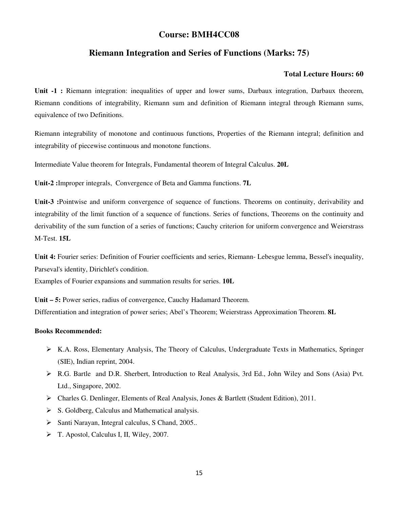## **Course: BMH4CC08**

## **Riemann Integration and Series of Functions (Marks: 75)**

#### **Total Lecture Hours: 60**

**Unit -1 :** Riemann integration: inequalities of upper and lower sums, Darbaux integration, Darbaux theorem, Riemann conditions of integrability, Riemann sum and definition of Riemann integral through Riemann sums, equivalence of two Definitions.

Riemann integrability of monotone and continuous functions, Properties of the Riemann integral; definition and integrability of piecewise continuous and monotone functions.

Intermediate Value theorem for Integrals, Fundamental theorem of Integral Calculus. **20L**

**Unit-2 :**Improper integrals, Convergence of Beta and Gamma functions. **7L**

**Unit-3 :**Pointwise and uniform convergence of sequence of functions. Theorems on continuity, derivability and integrability of the limit function of a sequence of functions. Series of functions, Theorems on the continuity and derivability of the sum function of a series of functions; Cauchy criterion for uniform convergence and Weierstrass M-Test. **15L**

**Unit 4:** Fourier series: Definition of Fourier coefficients and series, Riemann- Lebesgue lemma, Bessel's inequality, Parseval's identity, Dirichlet's condition.

Examples of Fourier expansions and summation results for series. **10L**

**Unit – 5:** Power series, radius of convergence, Cauchy Hadamard Theorem. Differentiation and integration of power series; Abel's Theorem; Weierstrass Approximation Theorem. **8L** 

- K.A. Ross, Elementary Analysis, The Theory of Calculus, Undergraduate Texts in Mathematics, Springer (SIE), Indian reprint, 2004.
- R.G. Bartle and D.R. Sherbert, Introduction to Real Analysis, 3rd Ed., John Wiley and Sons (Asia) Pvt. Ltd., Singapore, 2002.
- Charles G. Denlinger, Elements of Real Analysis, Jones & Bartlett (Student Edition), 2011.
- $\triangleright$  S. Goldberg, Calculus and Mathematical analysis.
- $\triangleright$  Santi Narayan, Integral calculus, S Chand, 2005...
- T. Apostol, Calculus I, II, Wiley, 2007.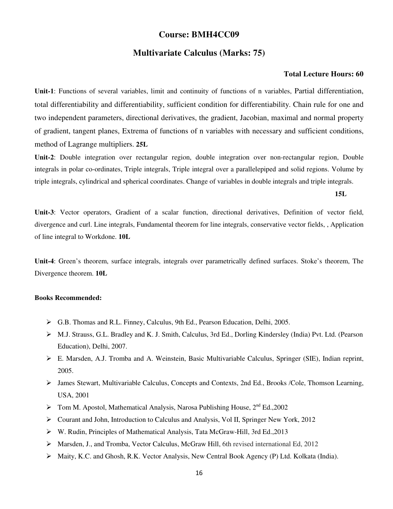## **Course: BMH4CC09**

## **Multivariate Calculus (Marks: 75)**

#### **Total Lecture Hours: 60**

**Unit-1**: Functions of several variables, limit and continuity of functions of n variables, Partial differentiation, total differentiability and differentiability, sufficient condition for differentiability. Chain rule for one and two independent parameters, directional derivatives, the gradient, Jacobian, maximal and normal property of gradient, tangent planes, Extrema of functions of n variables with necessary and sufficient conditions, method of Lagrange multipliers. **25L**

**Unit-2**: Double integration over rectangular region, double integration over non-rectangular region, Double integrals in polar co-ordinates, Triple integrals, Triple integral over a parallelepiped and solid regions. Volume by triple integrals, cylindrical and spherical coordinates. Change of variables in double integrals and triple integrals.

 **15L**

**Unit-3**: Vector operators, Gradient of a scalar function, directional derivatives, Definition of vector field, divergence and curl. Line integrals, Fundamental theorem for line integrals, conservative vector fields, , Application of line integral to Workdone. **10L**

**Unit-4**: Green's theorem, surface integrals, integrals over parametrically defined surfaces. Stoke's theorem, The Divergence theorem. **10L**

- G.B. Thomas and R.L. Finney, Calculus, 9th Ed., Pearson Education, Delhi, 2005.
- M.J. Strauss, G.L. Bradley and K. J. Smith, Calculus, 3rd Ed., Dorling Kindersley (India) Pvt. Ltd. (Pearson Education), Delhi, 2007.
- E. Marsden, A.J. Tromba and A. Weinstein, Basic Multivariable Calculus, Springer (SIE), Indian reprint, 2005.
- James Stewart, Multivariable Calculus, Concepts and Contexts, 2nd Ed., Brooks /Cole, Thomson Learning, USA, 2001
- $\triangleright$  Tom M. Apostol, Mathematical Analysis, Narosa Publishing House, 2<sup>nd</sup> Ed., 2002
- Courant and John, Introduction to Calculus and Analysis, Vol II, Springer New York, 2012
- W. Rudin, Principles of Mathematical Analysis, Tata McGraw-Hill, 3rd Ed.,2013
- Marsden, J., and Tromba, Vector Calculus, McGraw Hill, 6th revised international Ed, 2012
- Maity, K.C. and Ghosh, R.K. Vector Analysis, New Central Book Agency (P) Ltd. Kolkata (India).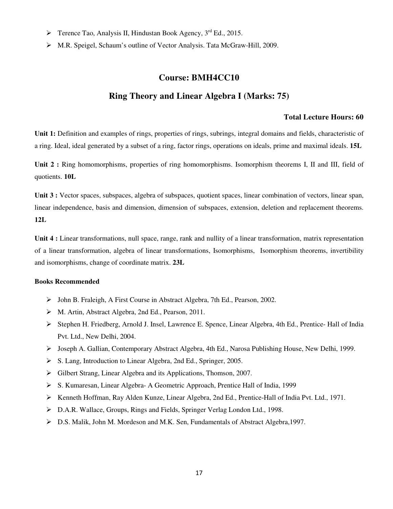- $\triangleright$  Terence Tao, Analysis II, Hindustan Book Agency, 3<sup>rd</sup> Ed., 2015.
- M.R. Speigel, Schaum's outline of Vector Analysis. Tata McGraw-Hill, 2009.

#### **Course: BMH4CC10**

## **Ring Theory and Linear Algebra I (Marks: 75)**

## **Total Lecture Hours: 60**

**Unit 1:** Definition and examples of rings, properties of rings, subrings, integral domains and fields, characteristic of a ring. Ideal, ideal generated by a subset of a ring, factor rings, operations on ideals, prime and maximal ideals. **15L**

Unit 2 : Ring homomorphisms, properties of ring homomorphisms. Isomorphism theorems I, II and III, field of quotients. **10L**

**Unit 3 :** Vector spaces, subspaces, algebra of subspaces, quotient spaces, linear combination of vectors, linear span, linear independence, basis and dimension, dimension of subspaces, extension, deletion and replacement theorems. **12L**

**Unit 4 :** Linear transformations, null space, range, rank and nullity of a linear transformation, matrix representation of a linear transformation, algebra of linear transformations, Isomorphisms, Isomorphism theorems, invertibility and isomorphisms, change of coordinate matrix. **23L**

- John B. Fraleigh, A First Course in Abstract Algebra, 7th Ed., Pearson, 2002.
- M. Artin, Abstract Algebra, 2nd Ed., Pearson, 2011.
- Stephen H. Friedberg, Arnold J. Insel, Lawrence E. Spence, Linear Algebra, 4th Ed., Prentice- Hall of India Pvt. Ltd., New Delhi, 2004.
- Joseph A. Gallian, Contemporary Abstract Algebra, 4th Ed., Narosa Publishing House, New Delhi, 1999.
- S. Lang, Introduction to Linear Algebra, 2nd Ed., Springer, 2005.
- Gilbert Strang, Linear Algebra and its Applications, Thomson, 2007.
- S. Kumaresan, Linear Algebra- A Geometric Approach, Prentice Hall of India, 1999
- Kenneth Hoffman, Ray Alden Kunze, Linear Algebra, 2nd Ed., Prentice-Hall of India Pvt. Ltd., 1971.
- D.A.R. Wallace, Groups, Rings and Fields, Springer Verlag London Ltd., 1998.
- D.S. Malik, John M. Mordeson and M.K. Sen, Fundamentals of Abstract Algebra,1997.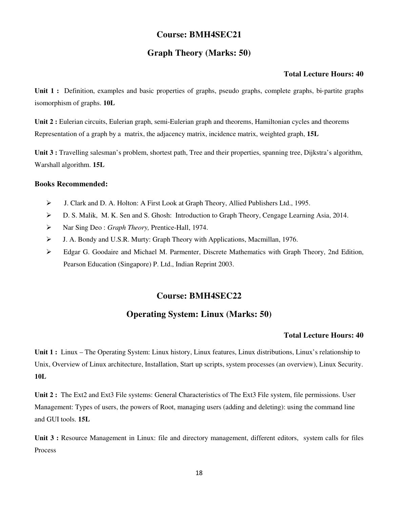## **Course: BMH4SEC21**

## **Graph Theory (Marks: 50)**

#### **Total Lecture Hours: 40**

Unit 1 : Definition, examples and basic properties of graphs, pseudo graphs, complete graphs, bi-partite graphs isomorphism of graphs. **10L**

**Unit 2 :** Eulerian circuits, Eulerian graph, semi-Eulerian graph and theorems, Hamiltonian cycles and theorems Representation of a graph by a matrix, the adjacency matrix, incidence matrix, weighted graph, **15L**

**Unit 3 :** Travelling salesman's problem, shortest path, Tree and their properties, spanning tree, Dijkstra's algorithm, Warshall algorithm. **15L**

#### **Books Recommended:**

- J. Clark and D. A. Holton: A First Look at Graph Theory, Allied Publishers Ltd., 1995.
- D. S. Malik, M. K. Sen and S. Ghosh: Introduction to Graph Theory, Cengage Learning Asia, 2014.
- Nar Sing Deo : *Graph Theory,* Prentice-Hall, 1974.
- J. A. Bondy and U.S.R. Murty: Graph Theory with Applications, Macmillan, 1976.
- Edgar G. Goodaire and Michael M. Parmenter, Discrete Mathematics with Graph Theory, 2nd Edition, Pearson Education (Singapore) P. Ltd., Indian Reprint 2003.

#### **Course: BMH4SEC22**

## **Operating System: Linux (Marks: 50)**

#### **Total Lecture Hours: 40**

**Unit 1 :** Linux – The Operating System: Linux history, Linux features, Linux distributions, Linux's relationship to Unix, Overview of Linux architecture, Installation, Start up scripts, system processes (an overview), Linux Security. **10L**

**Unit 2 :** The Ext2 and Ext3 File systems: General Characteristics of The Ext3 File system, file permissions. User Management: Types of users, the powers of Root, managing users (adding and deleting): using the command line and GUI tools. **15L**

Unit 3 : Resource Management in Linux: file and directory management, different editors, system calls for files Process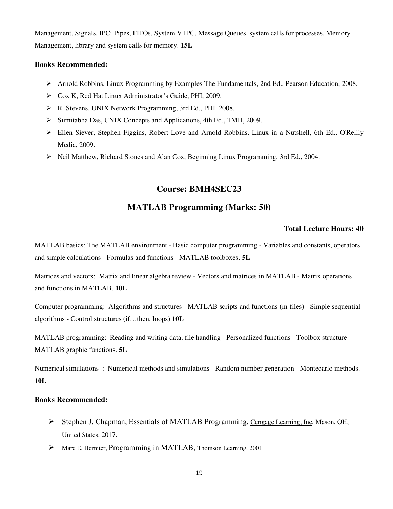Management, Signals, IPC: Pipes, FIFOs, System V IPC, Message Queues, system calls for processes, Memory Management, library and system calls for memory. **15L**

#### **Books Recommended:**

- Arnold Robbins, Linux Programming by Examples The Fundamentals, 2nd Ed., Pearson Education, 2008.
- Cox K, Red Hat Linux Administrator's Guide, PHI, 2009.
- R. Stevens, UNIX Network Programming, 3rd Ed., PHI, 2008.
- Sumitabha Das, UNIX Concepts and Applications, 4th Ed., TMH, 2009.
- Ellen Siever, Stephen Figgins, Robert Love and Arnold Robbins, Linux in a Nutshell, 6th Ed., O'Reilly Media, 2009.
- $\triangleright$  Neil Matthew, Richard Stones and Alan Cox, Beginning Linux Programming, 3rd Ed., 2004.

## **Course: BMH4SEC23**

## **MATLAB Programming (Marks: 50)**

#### **Total Lecture Hours: 40**

MATLAB basics: The MATLAB environment - Basic computer programming - Variables and constants, operators and simple calculations - Formulas and functions - MATLAB toolboxes. **5L**

Matrices and vectors: Matrix and linear algebra review - Vectors and matrices in MATLAB - Matrix operations and functions in MATLAB. **10L**

Computer programming: Algorithms and structures - MATLAB scripts and functions (m-files) - Simple sequential algorithms - Control structures (if…then, loops) **10L**

MATLAB programming: Reading and writing data, file handling - Personalized functions - Toolbox structure - MATLAB graphic functions. **5L**

Numerical simulations : Numerical methods and simulations - Random number generation - Montecarlo methods. **10L**

- Stephen J. Chapman, Essentials of MATLAB Programming, Cengage Learning, Inc, Mason, OH, United States, 2017.
- Marc E. Herniter, Programming in MATLAB, Thomson Learning, 2001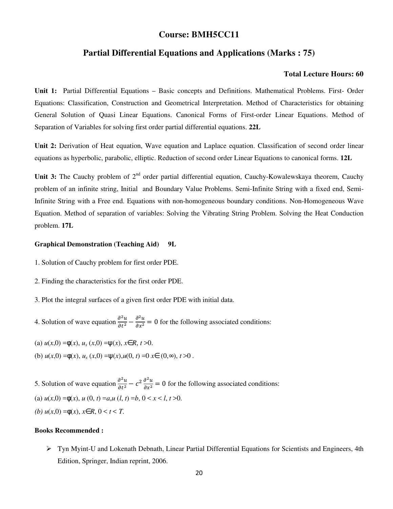## **Course: BMH5CC11**

## **Partial Differential Equations and Applications (Marks : 75)**

#### **Total Lecture Hours: 60**

**Unit 1:** Partial Differential Equations – Basic concepts and Definitions. Mathematical Problems. First- Order Equations: Classification, Construction and Geometrical Interpretation. Method of Characteristics for obtaining General Solution of Quasi Linear Equations. Canonical Forms of First-order Linear Equations. Method of Separation of Variables for solving first order partial differential equations. **22L**

**Unit 2:** Derivation of Heat equation, Wave equation and Laplace equation. Classification of second order linear equations as hyperbolic, parabolic, elliptic. Reduction of second order Linear Equations to canonical forms. **12L**

Unit 3: The Cauchy problem of 2<sup>nd</sup> order partial differential equation, Cauchy-Kowalewskaya theorem, Cauchy problem of an infinite string, Initial and Boundary Value Problems. Semi-Infinite String with a fixed end, Semi-Infinite String with a Free end. Equations with non-homogeneous boundary conditions. Non-Homogeneous Wave Equation. Method of separation of variables: Solving the Vibrating String Problem. Solving the Heat Conduction problem. **17L**

#### **Graphical Demonstration (Teaching Aid) 9L**

- 1. Solution of Cauchy problem for first order PDE.
- 2. Finding the characteristics for the first order PDE.
- 3. Plot the integral surfaces of a given first order PDE with initial data.
- 4. Solution of wave equation  $\frac{\partial^2 u}{\partial t^2} \frac{\partial^2 u}{\partial x^2} = 0$  for the following associated conditions:
- (a)  $u(x,0) = \phi(x), u_x(x,0) = \psi(x), x \in R, t > 0.$
- (b)  $u(x,0) = \phi(x), u_x(x,0) = \psi(x), u(0, t) = 0$  *x*∈  $(0, \infty), t > 0$ .

5. Solution of wave equation  $\frac{\partial^2 u}{\partial t^2} - c^2 \frac{\partial^2 u}{\partial x^2} = 0$  for the following associated conditions: (a)  $u(x,0) = \phi(x)$ ,  $u(0, t) = a, u(l, t) = b, 0 < x < l, t > 0$ . *(b)*  $u(x,0) = ∅(x)$ ,  $x ∈ R$ ,  $0 < t < T$ .

#### **Books Recommended :**

 Tyn Myint-U and Lokenath Debnath, Linear Partial Differential Equations for Scientists and Engineers, 4th Edition, Springer, Indian reprint, 2006.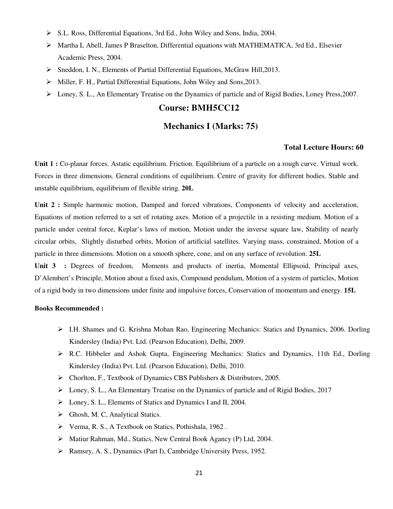- S.L. Ross, Differential Equations, 3rd Ed., John Wiley and Sons, India, 2004.
- $\triangleright$  Martha L Abell, James P Braselton, Differential equations with MATHEMATICA, 3rd Ed., Elsevier Academic Press, 2004.
- $\triangleright$  Sneddon, I. N., Elements of Partial Differential Equations, McGraw Hill, 2013.
- Miller, F. H., Partial Differential Equations, John Wiley and Sons,2013.
- Loney, S. L., An Elementary Treatise on the Dynamics of particle and of Rigid Bodies, Loney Press,2007.

## **Course: BMH5CC12**

## **Mechanics I (Marks: 75)**

#### **Total Lecture Hours: 60**

**Unit 1 :** Co-planar forces. Astatic equilibrium. Friction. Equilibrium of a particle on a rough curve. Virtual work. Forces in three dimensions. General conditions of equilibrium. Centre of gravity for different bodies. Stable and unstable equilibrium, equilibrium of flexible string. **20L**

Unit 2 : Simple harmonic motion, Damped and forced vibrations, Components of velocity and acceleration, Equations of motion referred to a set of rotating axes. Motion of a projectile in a resisting medium. Motion of a particle under central force, Keplar's laws of motion, Motion under the inverse square law, Stability of nearly circular orbits, Slightly disturbed orbits, Motion of artificial satellites. Varying mass, constrained, Motion of a particle in three dimensions. Motion on a smooth sphere, cone, and on any surface of revolution. **25L**

Unit 3 : Degrees of freedom, Moments and products of inertia, Momental Ellipsoid, Principal axes, D'Alembert's Principle, Motion about a fixed axis, Compound pendulum, Motion of a system of particles, Motion of a rigid body in two dimensions under finite and impulsive forces, Conservation of momentum and energy. **15L**

- $\triangleright$  I.H. Shames and G. Krishna Mohan Rao, Engineering Mechanics: Statics and Dynamics, 2006. Dorling Kindersley (India) Pvt. Ltd. (Pearson Education), Delhi, 2009.
- R.C. Hibbeler and Ashok Gupta, Engineering Mechanics: Statics and Dynamics, 11th Ed., Dorling Kindersley (India) Pvt. Ltd. (Pearson Education), Delhi, 2010.
- Chorlton, F., Textbook of Dynamics CBS Publishers & Distributors, 2005.
- $\triangleright$  Loney, S. L., An Elementary Treatise on the Dynamics of particle and of Rigid Bodies, 2017
- Loney, S. L., Elements of Statics and Dynamics I and II, 2004.
- $\triangleright$  Ghosh, M. C, Analytical Statics.
- Verma, R. S., A Textbook on Statics, Pothishala, 1962 .
- Matiur Rahman, Md., Statics, New Central Book Agancy (P) Ltd, 2004.
- Ramsey, A. S., Dynamics (Part I), Cambridge University Press, 1952.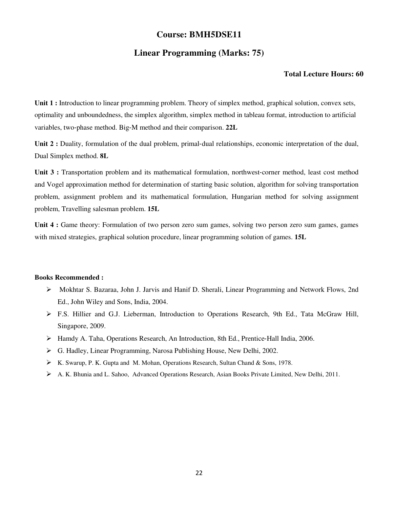## **Course: BMH5DSE11**

## **Linear Programming (Marks: 75)**

#### **Total Lecture Hours: 60**

**Unit 1 :** Introduction to linear programming problem. Theory of simplex method, graphical solution, convex sets, optimality and unboundedness, the simplex algorithm, simplex method in tableau format, introduction to artificial variables, two‐phase method. Big‐M method and their comparison. **22L**

**Unit 2 :** Duality, formulation of the dual problem, primal-dual relationships, economic interpretation of the dual, Dual Simplex method. **8L**

Unit 3 : Transportation problem and its mathematical formulation, northwest-corner method, least cost method and Vogel approximation method for determination of starting basic solution, algorithm for solving transportation problem, assignment problem and its mathematical formulation, Hungarian method for solving assignment problem, Travelling salesman problem. **15L**

**Unit 4 :** Game theory: Formulation of two person zero sum games, solving two person zero sum games, games with mixed strategies, graphical solution procedure, linear programming solution of games. **15L**

- Mokhtar S. Bazaraa, John J. Jarvis and Hanif D. Sherali, Linear Programming and Network Flows, 2nd Ed., John Wiley and Sons, India, 2004.
- F.S. Hillier and G.J. Lieberman, Introduction to Operations Research, 9th Ed., Tata McGraw Hill, Singapore, 2009.
- Hamdy A. Taha, Operations Research, An Introduction, 8th Ed., Prentice‐Hall India, 2006.
- G. Hadley, Linear Programming, Narosa Publishing House, New Delhi, 2002.
- K. Swarup, P. K. Gupta and M. Mohan, Operations Research, Sultan Chand & Sons, 1978.
- A. K. Bhunia and L. Sahoo, Advanced Operations Research, Asian Books Private Limited, New Delhi, 2011.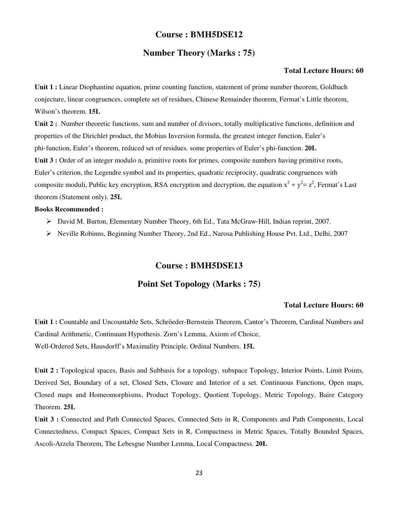## **Course : BMH5DSE12**

## **Number Theory (Marks : 75)**

#### **Total Lecture Hours: 60**

**Unit 1 :** Linear Diophantine equation, prime counting function, statement of prime number theorem, Goldbach conjecture, linear congruences, complete set of residues, Chinese Remainder theorem, Fermat's Little theorem, Wilson's theorem. **15L**

**Unit 2 :** Number theoretic functions, sum and number of divisors, totally multiplicative functions, definition and properties of the Dirichlet product, the Mobius Inversion formula, the greatest integer function, Euler's phi‐function, Euler's theorem, reduced set of residues. some properties of Euler's phi-function. **20L Unit 3 :** Order of an integer modulo n, primitive roots for primes, composite numbers having primitive roots, Euler's criterion, the Legendre symbol and its properties, quadratic reciprocity, quadratic congruences with composite moduli, Public key encryption, RSA encryption and decryption, the equation  $x^2 + y^2 = z^2$ , Fermat's Last theorem (Statement only). **25L**

#### **Books Recommended :**

- David M. Burton, Elementary Number Theory, 6th Ed., Tata McGraw‐Hill, Indian reprint, 2007.
- Neville Robinns, Beginning Number Theory, 2nd Ed., Narosa Publishing House Pvt. Ltd., Delhi, 2007

## **Course : BMH5DSE13**

## **Point Set Topology (Marks : 75)**

#### **Total Lecture Hours: 60**

**Unit 1 :** Countable and Uncountable Sets, Schrӧeder-Bernstein Theorem, Cantor's Theorem, Cardinal Numbers and Cardinal Arithmetic, Continuum Hypothesis. Zorn's Lemma, Axiom of Choice, Well-Ordered Sets, Hausdorff's Maximality Principle. Ordinal Numbers. **15L** 

**Unit 2 :** Topological spaces, Basis and Subbasis for a topology, subspace Topology, Interior Points, Limit Points, Derived Set, Boundary of a set, Closed Sets, Closure and Interior of a set. Continuous Functions, Open maps, Closed maps and Homeomorphisms, Product Topology, Quotient Topology, Metric Topology, Baire Category Theorem. **25L** 

Unit 3 : Connected and Path Connected Spaces, Connected Sets in R, Components and Path Components, Local Connectedness, Compact Spaces, Compact Sets in R, Compactness in Metric Spaces, Totally Bounded Spaces, Ascoli-Arzela Theorem, The Lebesgue Number Lemma, Local Compactness. **20L**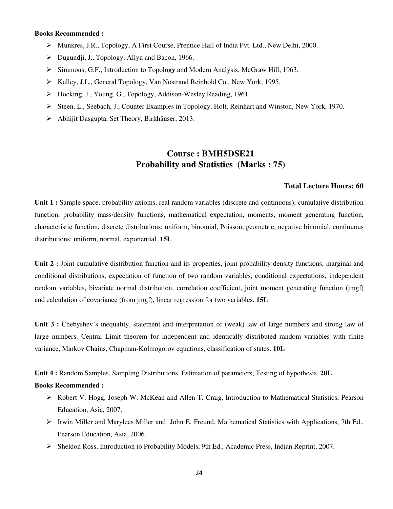#### **Books Recommended :**

- Munkres, J.R., Topology, A First Course, Prentice Hall of India Pvt. Ltd., New Delhi, 2000.
- $\triangleright$  Dugundji, J., Topology, Allyn and Bacon, 1966.
- Simmons, G.F., Introduction to Topol**ogy** and Modern Analysis, McGraw Hill, 1963.
- ▶ Kelley, J.L., General Topology, Van Nostrand Reinhold Co., New York, 1995.
- Hocking, J., Young, G., Topology, Addison-Wesley Reading, 1961.
- Steen, L., Seebach, J., Counter Examples in Topology, Holt, Reinhart and Winston, New York, 1970.
- Abhijit Dasgupta, Set Theory, Birkhäuser, 2013.

## **Course : BMH5DSE21 Probability and Statistics (Marks : 75)**

#### **Total Lecture Hours: 60**

**Unit 1 :** Sample space, probability axioms, real random variables (discrete and continuous), cumulative distribution function, probability mass/density functions, mathematical expectation, moments, moment generating function, characteristic function, discrete distributions: uniform, binomial, Poisson, geometric, negative binomial, continuous distributions: uniform, normal, exponential. **15L** 

**Unit 2 :** Joint cumulative distribution function and its properties, joint probability density functions, marginal and conditional distributions, expectation of function of two random variables, conditional expectations, independent random variables, bivariate normal distribution, correlation coefficient, joint moment generating function (jmgf) and calculation of covariance (from jmgf), linear regression for two variables. **15L** 

Unit 3 : Chebyshev's inequality, statement and interpretation of (weak) law of large numbers and strong law of large numbers. Central Limit theorem for independent and identically distributed random variables with finite variance, Markov Chains, Chapman-Kolmogorov equations, classification of states. **10L** 

**Unit 4 :** Random Samples, Sampling Distributions, Estimation of parameters, Testing of hypothesis. **20L** 

- Robert V. Hogg, Joseph W. McKean and Allen T. Craig, Introduction to Mathematical Statistics, Pearson Education, Asia, 2007.
- $\triangleright$  Irwin Miller and Marylees Miller and John E. Freund, Mathematical Statistics with Applications, 7th Ed., Pearson Education, Asia, 2006.
- Sheldon Ross, Introduction to Probability Models, 9th Ed., Academic Press, Indian Reprint, 2007.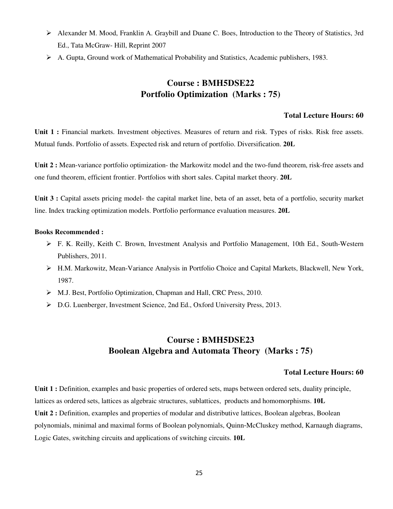- Alexander M. Mood, Franklin A. Graybill and Duane C. Boes, Introduction to the Theory of Statistics, 3rd Ed., Tata McGraw- Hill, Reprint 2007
- $\triangleright$  A. Gupta, Ground work of Mathematical Probability and Statistics, Academic publishers, 1983.

## **Course : BMH5DSE22 Portfolio Optimization (Marks : 75)**

#### **Total Lecture Hours: 60**

**Unit 1 :** Financial markets. Investment objectives. Measures of return and risk. Types of risks. Risk free assets. Mutual funds. Portfolio of assets. Expected risk and return of portfolio. Diversification. **20L** 

**Unit 2 :** Mean-variance portfolio optimization- the Markowitz model and the two-fund theorem, risk-free assets and one fund theorem, efficient frontier. Portfolios with short sales. Capital market theory. **20L**

**Unit 3 :** Capital assets pricing model- the capital market line, beta of an asset, beta of a portfolio, security market line. Index tracking optimization models. Portfolio performance evaluation measures. **20L**

#### **Books Recommended :**

- F. K. Reilly, Keith C. Brown, Investment Analysis and Portfolio Management, 10th Ed., South-Western Publishers, 2011.
- H.M. Markowitz, Mean-Variance Analysis in Portfolio Choice and Capital Markets, Blackwell, New York, 1987.
- M.J. Best, Portfolio Optimization, Chapman and Hall, CRC Press, 2010.
- D.G. Luenberger, Investment Science, 2nd Ed., Oxford University Press, 2013.

## **Course : BMH5DSE23 Boolean Algebra and Automata Theory (Marks : 75)**

#### **Total Lecture Hours: 60**

**Unit 1 :** Definition, examples and basic properties of ordered sets, maps between ordered sets, duality principle, lattices as ordered sets, lattices as algebraic structures, sublattices, products and homomorphisms. **10L** Unit 2 : Definition, examples and properties of modular and distributive lattices, Boolean algebras, Boolean polynomials, minimal and maximal forms of Boolean polynomials, Quinn‐McCluskey method, Karnaugh diagrams, Logic Gates, switching circuits and applications of switching circuits. **10L**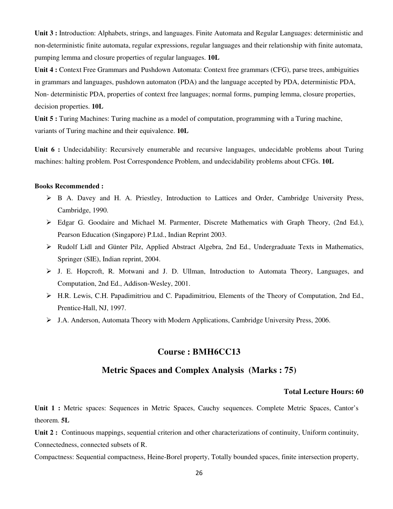**Unit 3 :** Introduction: Alphabets, strings, and languages. Finite Automata and Regular Languages: deterministic and non-deterministic finite automata, regular expressions, regular languages and their relationship with finite automata, pumping lemma and closure properties of regular languages. **10L**

**Unit 4 :** Context Free Grammars and Pushdown Automata: Context free grammars (CFG), parse trees, ambiguities in grammars and languages, pushdown automaton (PDA) and the language accepted by PDA, deterministic PDA, Non- deterministic PDA, properties of context free languages; normal forms, pumping lemma, closure properties, decision properties. **10L**

**Unit 5 :** Turing Machines: Turing machine as a model of computation, programming with a Turing machine, variants of Turing machine and their equivalence. **10L**

**Unit 6 :** Undecidability: Recursively enumerable and recursive languages, undecidable problems about Turing machines: halting problem. Post Correspondence Problem, and undecidability problems about CFGs. **10L**

#### **Books Recommended :**

- B A. Davey and H. A. Priestley, Introduction to Lattices and Order, Cambridge University Press, Cambridge, 1990.
- Edgar G. Goodaire and Michael M. Parmenter, Discrete Mathematics with Graph Theory, (2nd Ed.), Pearson Education (Singapore) P.Ltd., Indian Reprint 2003.
- Rudolf Lidl and Günter Pilz, Applied Abstract Algebra, 2nd Ed., Undergraduate Texts in Mathematics, Springer (SIE), Indian reprint, 2004.
- J. E. Hopcroft, R. Motwani and J. D. Ullman, Introduction to Automata Theory, Languages, and Computation, 2nd Ed., Addison-Wesley, 2001.
- H.R. Lewis, C.H. Papadimitriou and C. Papadimitriou, Elements of the Theory of Computation, 2nd Ed., Prentice-Hall, NJ, 1997.
- J.A. Anderson, Automata Theory with Modern Applications, Cambridge University Press, 2006.

#### **Course : BMH6CC13**

#### **Metric Spaces and Complex Analysis (Marks : 75)**

#### **Total Lecture Hours: 60**

**Unit 1 :** Metric spaces: Sequences in Metric Spaces, Cauchy sequences. Complete Metric Spaces, Cantor's theorem. **5L**

**Unit 2 :** Continuous mappings, sequential criterion and other characterizations of continuity, Uniform continuity, Connectedness, connected subsets of R.

Compactness: Sequential compactness, Heine-Borel property, Totally bounded spaces, finite intersection property,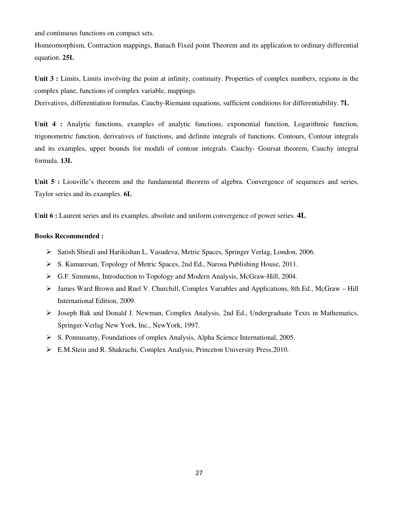and continuous functions on compact sets.

Homeomorphism, Contraction mappings, Banach Fixed point Theorem and its application to ordinary differential equation. **25L**

**Unit 3 :** Limits, Limits involving the point at infinity, continuity. Properties of complex numbers, regions in the complex plane, functions of complex variable, mappings.

Derivatives, differentiation formulas, Cauchy-Riemann equations, sufficient conditions for differentiability. **7L**

**Unit 4 :** Analytic functions, examples of analytic functions, exponential function, Logarithmic function, trigonometric function, derivatives of functions, and definite integrals of functions. Contours, Contour integrals and its examples, upper bounds for moduli of contour integrals. Cauchy- Goursat theorem, Cauchy integral formula. **13L**

Unit 5 : Liouville's theorem and the fundamental theorem of algebra. Convergence of sequences and series, Taylor series and its examples. **6L**

**Unit 6 :** Laurent series and its examples, absolute and uniform convergence of power series. **4L**

- Satish Shirali and Harikishan L. Vasudeva, Metric Spaces, Springer Verlag, London, 2006.
- S. Kumaresan, Topology of Metric Spaces, 2nd Ed., Narosa Publishing House, 2011.
- G.F. Simmons, Introduction to Topology and Modern Analysis, McGraw-Hill, 2004.
- $\triangleright$  James Ward Brown and Ruel V. Churchill, Complex Variables and Applications, 8th Ed., McGraw Hill International Edition, 2009.
- Joseph Bak and Donald J. Newman, Complex Analysis, 2nd Ed., Undergraduate Texts in Mathematics, Springer-Verlag New York, Inc., NewYork, 1997.
- $\triangleright$  S. Ponnusamy, Foundations of omplex Analysis, Alpha Science International, 2005.
- E.M.Stein and R. Shakrachi, Complex Analysis, Princeton University Press,2010.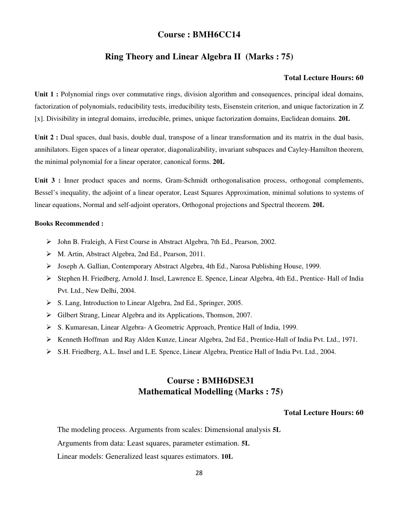## **Course : BMH6CC14**

## **Ring Theory and Linear Algebra II (Marks : 75)**

#### **Total Lecture Hours: 60**

Unit 1 : Polynomial rings over commutative rings, division algorithm and consequences, principal ideal domains, factorization of polynomials, reducibility tests, irreducibility tests, Eisenstein criterion, and unique factorization in Z [x]. Divisibility in integral domains, irreducible, primes, unique factorization domains, Euclidean domains. **20L**

Unit 2 : Dual spaces, dual basis, double dual, transpose of a linear transformation and its matrix in the dual basis, annihilators. Eigen spaces of a linear operator, diagonalizability, invariant subspaces and Cayley-Hamilton theorem, the minimal polynomial for a linear operator, canonical forms. **20L**

Unit 3 : Inner product spaces and norms, Gram-Schmidt orthogonalisation process, orthogonal complements, Bessel's inequality, the adjoint of a linear operator, Least Squares Approximation, minimal solutions to systems of linear equations, Normal and self-adjoint operators, Orthogonal projections and Spectral theorem. **20L**

#### **Books Recommended :**

- John B. Fraleigh, A First Course in Abstract Algebra, 7th Ed., Pearson, 2002.
- M. Artin, Abstract Algebra, 2nd Ed., Pearson, 2011.
- Joseph A. Gallian, Contemporary Abstract Algebra, 4th Ed., Narosa Publishing House, 1999.
- Stephen H. Friedberg, Arnold J. Insel, Lawrence E. Spence, Linear Algebra, 4th Ed., Prentice- Hall of India Pvt. Ltd., New Delhi, 2004.
- S. Lang, Introduction to Linear Algebra, 2nd Ed., Springer, 2005.
- Gilbert Strang, Linear Algebra and its Applications, Thomson, 2007.
- S. Kumaresan, Linear Algebra- A Geometric Approach, Prentice Hall of India, 1999.
- Kenneth Hoffman and Ray Alden Kunze, Linear Algebra, 2nd Ed., Prentice-Hall of India Pvt. Ltd., 1971.
- S.H. Friedberg, A.L. Insel and L.E. Spence, Linear Algebra, Prentice Hall of India Pvt. Ltd., 2004.

## **Course : BMH6DSE31 Mathematical Modelling (Marks : 75)**

#### **Total Lecture Hours: 60**

The modeling process. Arguments from scales: Dimensional analysis **5L**

Arguments from data: Least squares, parameter estimation. **5L**

Linear models: Generalized least squares estimators. **10L**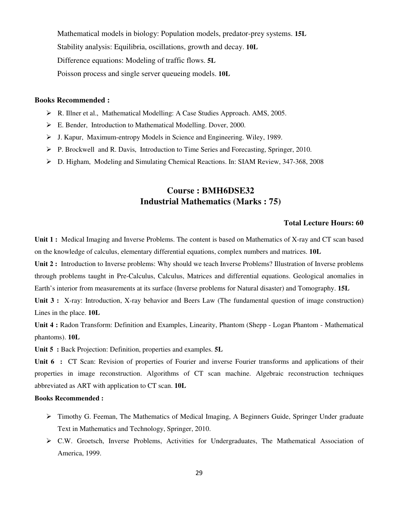Mathematical models in biology: Population models, predator-prey systems. **15L** Stability analysis: Equilibria, oscillations, growth and decay. **10L** Difference equations: Modeling of traffic flows. **5L** Poisson process and single server queueing models. **10L**

#### **Books Recommended :**

- R. Illner et al., Mathematical Modelling: A Case Studies Approach. AMS, 2005.
- E. Bender, Introduction to Mathematical Modelling. Dover, 2000.
- J. Kapur, Maximum-entropy Models in Science and Engineering. Wiley, 1989.
- $\triangleright$  P. Brockwell and R. Davis, Introduction to Time Series and Forecasting, Springer, 2010.
- D. Higham, Modeling and Simulating Chemical Reactions. In: SIAM Review, 347-368, 2008

## **Course : BMH6DSE32 Industrial Mathematics (Marks : 75)**

#### **Total Lecture Hours: 60**

**Unit 1 :** Medical Imaging and Inverse Problems. The content is based on Mathematics of X-ray and CT scan based on the knowledge of calculus, elementary differential equations, complex numbers and matrices. **10L**

**Unit 2 :** Introduction to Inverse problems: Why should we teach Inverse Problems? Illustration of Inverse problems through problems taught in Pre-Calculus, Calculus, Matrices and differential equations. Geological anomalies in Earth's interior from measurements at its surface (Inverse problems for Natural disaster) and Tomography. **15L**

Unit 3 : X-ray: Introduction, X-ray behavior and Beers Law (The fundamental question of image construction) Lines in the place. **10L**

**Unit 4 :** Radon Transform: Definition and Examples, Linearity, Phantom (Shepp - Logan Phantom - Mathematical phantoms). **10L**

**Unit 5 :** Back Projection: Definition, properties and examples. **5L**

Unit 6 : CT Scan: Revision of properties of Fourier and inverse Fourier transforms and applications of their properties in image reconstruction. Algorithms of CT scan machine. Algebraic reconstruction techniques abbreviated as ART with application to CT scan. **10L**

- Timothy G. Feeman, The Mathematics of Medical Imaging, A Beginners Guide, Springer Under graduate Text in Mathematics and Technology, Springer, 2010.
- C.W. Groetsch, Inverse Problems, Activities for Undergraduates, The Mathematical Association of America, 1999.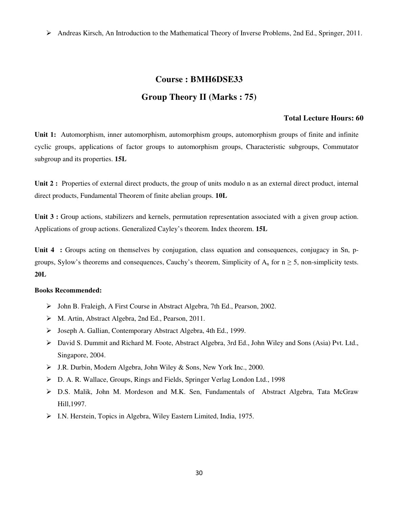Andreas Kirsch, An Introduction to the Mathematical Theory of Inverse Problems, 2nd Ed., Springer, 2011.

## **Course : BMH6DSE33 Group Theory II (Marks : 75)**

#### **Total Lecture Hours: 60**

**Unit 1:** Automorphism, inner automorphism, automorphism groups, automorphism groups of finite and infinite cyclic groups, applications of factor groups to automorphism groups, Characteristic subgroups, Commutator subgroup and its properties. **15L**

**Unit 2 :** Properties of external direct products, the group of units modulo n as an external direct product, internal direct products, Fundamental Theorem of finite abelian groups. **10L**

**Unit 3 :** Group actions, stabilizers and kernels, permutation representation associated with a given group action. Applications of group actions. Generalized Cayley's theorem. Index theorem. **15L**

Unit 4 : Groups acting on themselves by conjugation, class equation and consequences, conjugacy in Sn, pgroups, Sylow's theorems and consequences, Cauchy's theorem, Simplicity of  $A_n$  for  $n \geq 5$ , non-simplicity tests. **20L**

- John B. Fraleigh, A First Course in Abstract Algebra, 7th Ed., Pearson, 2002.
- M. Artin, Abstract Algebra, 2nd Ed., Pearson, 2011.
- Joseph A. Gallian, Contemporary Abstract Algebra, 4th Ed., 1999.
- David S. Dummit and Richard M. Foote, Abstract Algebra, 3rd Ed., John Wiley and Sons (Asia) Pvt. Ltd., Singapore, 2004.
- J.R. Durbin, Modern Algebra, John Wiley & Sons, New York Inc., 2000.
- D. A. R. Wallace, Groups, Rings and Fields, Springer Verlag London Ltd., 1998
- D.S. Malik, John M. Mordeson and M.K. Sen, Fundamentals of Abstract Algebra, Tata McGraw Hill,1997.
- I.N. Herstein, Topics in Algebra, Wiley Eastern Limited, India, 1975.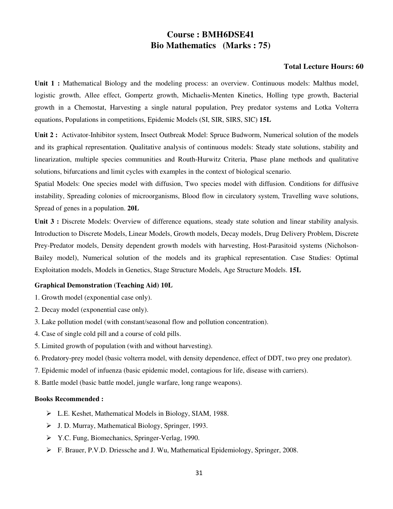## **Course : BMH6DSE41 Bio Mathematics (Marks : 75)**

#### **Total Lecture Hours: 60**

Unit 1 : Mathematical Biology and the modeling process: an overview. Continuous models: Malthus model, logistic growth, Allee effect, Gompertz growth, Michaelis-Menten Kinetics, Holling type growth, Bacterial growth in a Chemostat, Harvesting a single natural population, Prey predator systems and Lotka Volterra equations, Populations in competitions, Epidemic Models (SI, SIR, SIRS, SIC) **15L**

**Unit 2 :** Activator-Inhibitor system, Insect Outbreak Model: Spruce Budworm, Numerical solution of the models and its graphical representation. Qualitative analysis of continuous models: Steady state solutions, stability and linearization, multiple species communities and Routh-Hurwitz Criteria, Phase plane methods and qualitative solutions, bifurcations and limit cycles with examples in the context of biological scenario.

Spatial Models: One species model with diffusion, Two species model with diffusion. Conditions for diffusive instability, Spreading colonies of microorganisms, Blood flow in circulatory system, Travelling wave solutions, Spread of genes in a population. **20L**

**Unit 3 :** Discrete Models: Overview of difference equations, steady state solution and linear stability analysis. Introduction to Discrete Models, Linear Models, Growth models, Decay models, Drug Delivery Problem, Discrete Prey-Predator models, Density dependent growth models with harvesting, Host-Parasitoid systems (Nicholson-Bailey model), Numerical solution of the models and its graphical representation. Case Studies: Optimal Exploitation models, Models in Genetics, Stage Structure Models, Age Structure Models. **15L**

#### **Graphical Demonstration (Teaching Aid) 10L**

- 1. Growth model (exponential case only).
- 2. Decay model (exponential case only).
- 3. Lake pollution model (with constant/seasonal flow and pollution concentration).
- 4. Case of single cold pill and a course of cold pills.
- 5. Limited growth of population (with and without harvesting).
- 6. Predatory-prey model (basic volterra model, with density dependence, effect of DDT, two prey one predator).
- 7. Epidemic model of infuenza (basic epidemic model, contagious for life, disease with carriers).
- 8. Battle model (basic battle model, jungle warfare, long range weapons).

- L.E. Keshet, Mathematical Models in Biology, SIAM, 1988.
- J. D. Murray, Mathematical Biology, Springer, 1993.
- Y.C. Fung, Biomechanics, Springer-Verlag, 1990.
- F. Brauer, P.V.D. Driessche and J. Wu, Mathematical Epidemiology, Springer, 2008.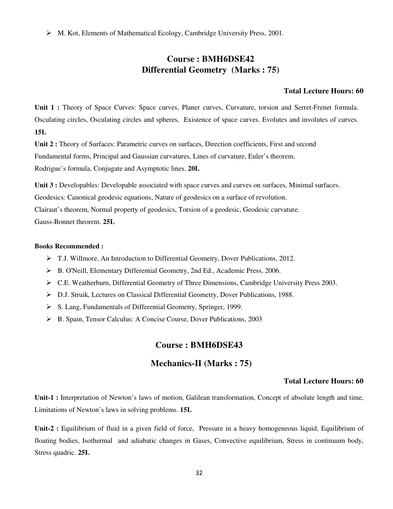M. Kot, Elements of Mathematical Ecology, Cambridge University Press, 2001.

## **Course : BMH6DSE42 Differential Geometry (Marks : 75)**

#### **Total Lecture Hours: 60**

Unit 1 : Theory of Space Curves: Space curves, Planer curves, Curvature, torsion and Serret-Frenet formula. Osculating circles, Osculating circles and spheres, Existence of space curves. Evolutes and involutes of curves. **15L**

**Unit 2 :** Theory of Surfaces: Parametric curves on surfaces, Direction coefficients, First and second Fundamental forms, Principal and Gaussian curvatures, Lines of curvature, Euler's theorem. Rodrigue's formula, Conjugate and Asymptotic lines. **20L**

Unit 3 : Developables: Developable associated with space curves and curves on surfaces, Minimal surfaces.

Geodesics: Canonical geodesic equations, Nature of geodesics on a surface of revolution.

Clairaut's theorem, Normal property of geodesics, Torsion of a geodesic, Geodesic curvature.

Gauss-Bonnet theorem. **25L**

#### **Books Recommended :**

- T.J. Willmore, An Introduction to Differential Geometry, Dover Publications, 2012.
- B. O'Neill, Elementary Differential Geometry, 2nd Ed., Academic Press, 2006.
- C.E. Weatherburn, Differential Geometry of Three Dimensions, Cambridge University Press 2003.
- D.J. Struik, Lectures on Classical Differential Geometry, Dover Publications, 1988.
- S. Lang, Fundamentals of Differential Geometry, Springer, 1999.
- B. Spain, Tensor Calculus: A Concise Course, Dover Publications, 2003

#### **Course : BMH6DSE43**

## **Mechanics-II (Marks : 75)**

#### **Total Lecture Hours: 60**

**Unit-1 :** Interpretation of Newton's laws of motion, Galilean transformation, Concept of absolute length and time, Limitations of Newton's laws in solving problems. **15L**

**Unit-2 :** Equilibrium of fluid in a given field of force, Pressure in a heavy homogeneous liquid, Equilibrium of floating bodies, Isothermal and adiabatic changes in Gases, Convective equilibrium, Stress in continuum body, Stress quadric. **25L**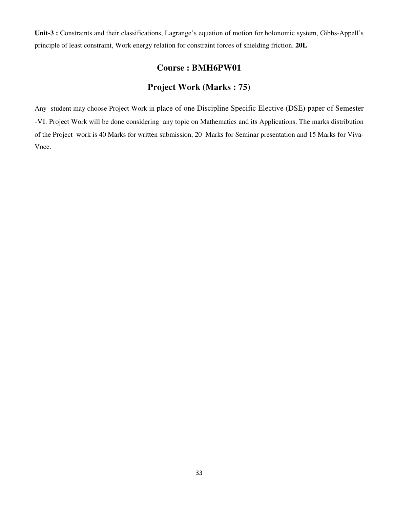**Unit-3 :** Constraints and their classifications, Lagrange's equation of motion for holonomic system, Gibbs-Appell's principle of least constraint, Work energy relation for constraint forces of shielding friction. **20L**

## **Course : BMH6PW01**

## **Project Work (Marks : 75)**

Any student may choose Project Work in place of one Discipline Specific Elective (DSE) paper of Semester -VI. Project Work will be done considering any topic on Mathematics and its Applications. The marks distribution of the Project work is 40 Marks for written submission, 20 Marks for Seminar presentation and 15 Marks for Viva-Voce.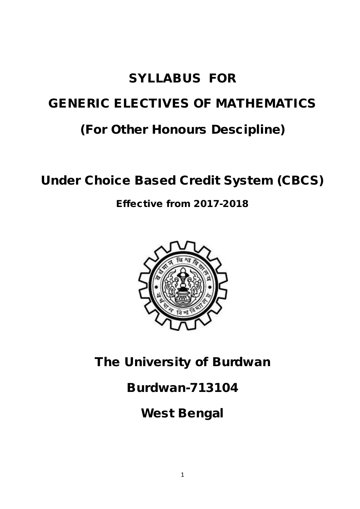# SYLLABUS FOR GENERIC ELECTIVES OF MATHEMATICS (For Other Honours Descipline)

# Under Choice Based Credit System (CBCS)

Effective from 2017-2018



The University of Burdwan

# Burdwan-713104

West Bengal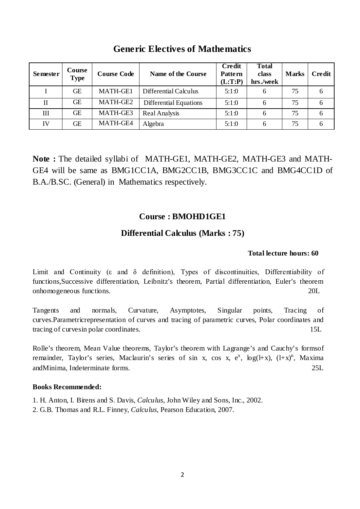| <b>Semester</b> | Course<br><b>Type</b> | <b>Course Code</b> | Name of the Course     | <b>Credit</b><br><b>Pattern</b><br>(L:T:P) | <b>Total</b><br>class<br>hrs./week | <b>Marks</b> | <b>Credit</b> |
|-----------------|-----------------------|--------------------|------------------------|--------------------------------------------|------------------------------------|--------------|---------------|
|                 | GЕ                    | MATH-GE1           | Differential Calculus  | 5:1:0                                      | 6                                  | 75           | 6             |
| П               | GЕ                    | MATH-GE2           | Differential Equations | 5:1:0                                      | 6                                  | 75           | 6             |
| Ш               | GЕ                    | MATH-GE3           | Real Analysis          | 5:1:0                                      | 6                                  | 75           | 6             |
| IV              | GЕ                    | MATH-GE4           | Algebra                | 5:1:0                                      | 6                                  | 75           | 6             |

## **Generic Electives of Mathematics**

**Note :** The detailed syllabi of MATH-GE1, MATH-GE2, MATH-GE3 and MATH-GE4 will be same as BMG1CC1A, BMG2CC1B, BMG3CC1C and BMG4CC1D of B.A./B.SC. (General) in Mathematics respectively.

## **Course : BMOHD1GE1**

## **Differential Calculus (Marks : 75)**

## **Total lecture hours: 60**

Limit and Continuity (ε and δ definition), Types of discontinuities, Differentiability of functions,Successive differentiation, Leibnitz's theorem, Partial differentiation, Euler's theorem onhomogeneous functions. 20L

Tangents and normals, Curvature, Asymptotes, Singular points, Tracing of curves.Parametricrepresentation of curves and tracing of parametric curves, Polar coordinates and tracing of curves in polar coordinates. 15L

Rolle's theorem, Mean Value theorems, Taylor's theorem with Lagrange's and Cauchy's formsof remainder, Taylor's series, Maclaurin's series of sin x, cos x,  $e^x$ ,  $log(H+x)$ ,  $(H+x)^n$ , Maxima andMinima, Indeterminate forms. 25L

## **Books Recommended:**

1. H. Anton, I. Birens and S. Davis, *Calculus*, John Wiley and Sons, Inc., 2002. 2. G.B. Thomas and R.L. Finney, *Calculus*, Pearson Education, 2007.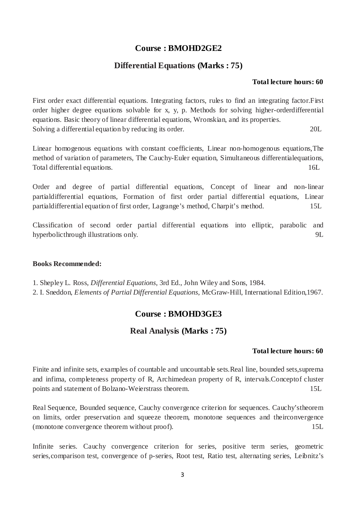## **Course : BMOHD2GE2**

## **Differential Equations (Marks : 75)**

## **Total lecture hours: 60**

First order exact differential equations. Integrating factors, rules to find an integrating factor.First order higher degree equations solvable for x, y, p. Methods for solving higher-orderdifferential equations. Basic theory of linear differential equations, Wronskian, and its properties. Solving a differential equation by reducing its order. 201

Linear homogenous equations with constant coefficients, Linear non-homogenous equations,The method of variation of parameters, The Cauchy-Euler equation, Simultaneous differentialequations, Total differential equations. 16L

Order and degree of partial differential equations, Concept of linear and non-linear partialdifferential equations, Formation of first order partial differential equations, Linear partialdifferential equation of first order, Lagrange's method, Charpit's method. 15L

Classification of second order partial differential equations into elliptic, parabolic and hyperbolicthrough illustrations only. 9L

## **Books Recommended:**

1. Shepley L. Ross, *Differential Equations*, 3rd Ed., John Wiley and Sons, 1984.

2. I. Sneddon, *Elements of Partial Differential Equations*, McGraw-Hill, International Edition,1967.

## **Course : BMOHD3GE3**

## **Real Analysis (Marks : 75)**

## **Total lecture hours: 60**

Finite and infinite sets, examples of countable and uncountable sets.Real line, bounded sets,suprema and infima, completeness property of R, Archimedean property of R, intervals.Conceptof cluster points and statement of Bolzano-Weierstrass theorem. 15L

Real Sequence, Bounded sequence, Cauchy convergence criterion for sequences. Cauchy'stheorem on limits, order preservation and squeeze theorem, monotone sequences and theirconvergence (monotone convergence theorem without proof). 15L

Infinite series. Cauchy convergence criterion for series, positive term series, geometric series,comparison test, convergence of p-series, Root test, Ratio test, alternating series, Leibnitz's